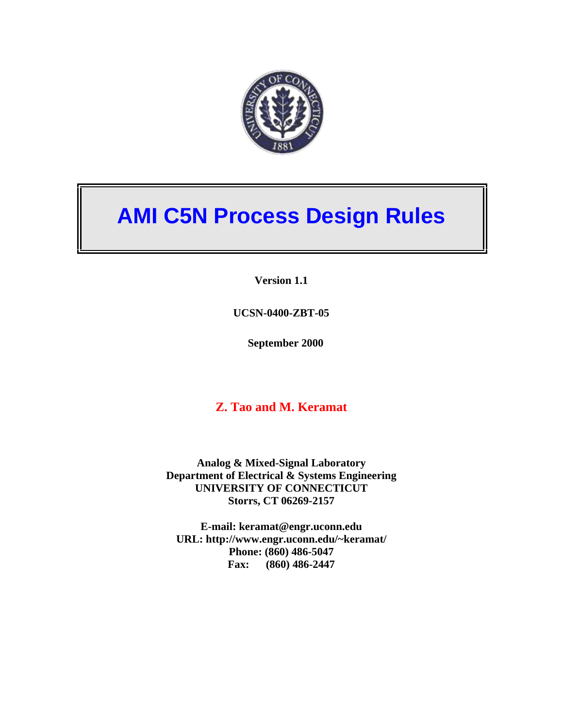

# **AMI C5N Process Design Rules**

**Version 1.1** 

**UCSN-0400-ZBT-05** 

**September 2000** 

#### **Z. Tao and M. Keramat**

**Analog & Mixed-Signal Laboratory Department of Electrical & Systems Engineering UNIVERSITY OF CONNECTICUT Storrs, CT 06269-2157** 

**E-mail: keramat@engr.uconn.edu URL: http://www.engr.uconn.edu/~keramat/ Phone: (860) 486-5047 Fax: (860) 486-2447**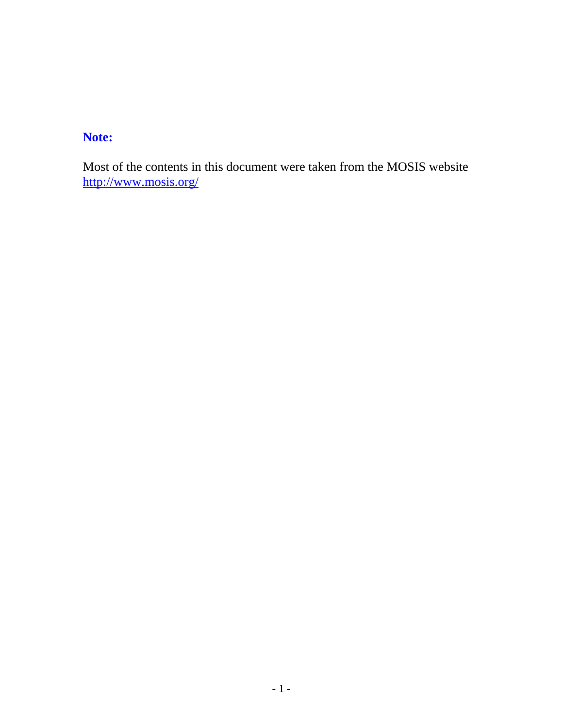#### **Note:**

Most of the contents in this document were taken from the MOSIS website http://www.mosis.org/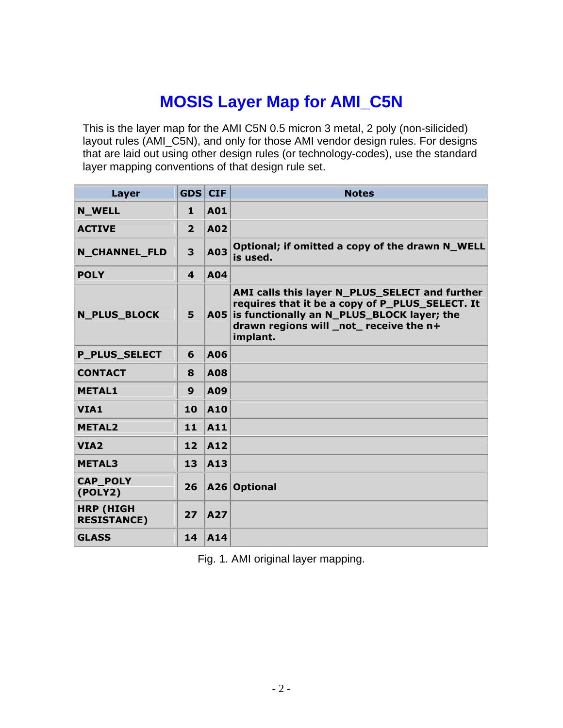#### **MOSIS Layer Map for AMI\_C5N**

This is the layer map for the AMI C5N 0.5 micron 3 metal, 2 poly (non-silicided) layout rules (AMI\_C5N), and only for those AMI vendor design rules. For designs that are laid out using other design rules (or technology-codes), use the standard layer mapping conventions of that design rule set.

| Layer                                  | <b>GDS CIF</b> |            | <b>Notes</b>                                                                                                                                                                                               |
|----------------------------------------|----------------|------------|------------------------------------------------------------------------------------------------------------------------------------------------------------------------------------------------------------|
| <b>N_WELL</b>                          | 1              | A01        |                                                                                                                                                                                                            |
| <b>ACTIVE</b>                          | $\overline{2}$ | A02        |                                                                                                                                                                                                            |
| <b>N_CHANNEL_FLD</b>                   | 3              | A03        | Optional; if omitted a copy of the drawn N_WELL<br>is used.                                                                                                                                                |
| <b>POLY</b>                            | 4              | A04        |                                                                                                                                                                                                            |
| <b>N PLUS BLOCK</b>                    | 5              |            | AMI calls this layer N_PLUS_SELECT and further<br>requires that it be a copy of P_PLUS_SELECT. It<br>A05 is functionally an N_PLUS_BLOCK layer; the<br>drawn regions will _not_ receive the n+<br>implant. |
| <b>P_PLUS_SELECT</b>                   | 6              | A06        |                                                                                                                                                                                                            |
| <b>CONTACT</b>                         | 8              | <b>A08</b> |                                                                                                                                                                                                            |
| <b>METAL1</b>                          | 9              | A09        |                                                                                                                                                                                                            |
| VIA1                                   | 10             | A10        |                                                                                                                                                                                                            |
| <b>METAL2</b>                          | 11             | <b>A11</b> |                                                                                                                                                                                                            |
| VIA <sub>2</sub>                       | 12             | A12        |                                                                                                                                                                                                            |
| <b>METAL3</b>                          | 13             | <b>A13</b> |                                                                                                                                                                                                            |
| <b>CAP POLY</b><br>(POLY2)             | 26             |            | A26 Optional                                                                                                                                                                                               |
| <b>HRP (HIGH</b><br><b>RESISTANCE)</b> | 27             | A27        |                                                                                                                                                                                                            |
| <b>GLASS</b>                           | 14             | <b>A14</b> |                                                                                                                                                                                                            |

Fig. 1. AMI original layer mapping.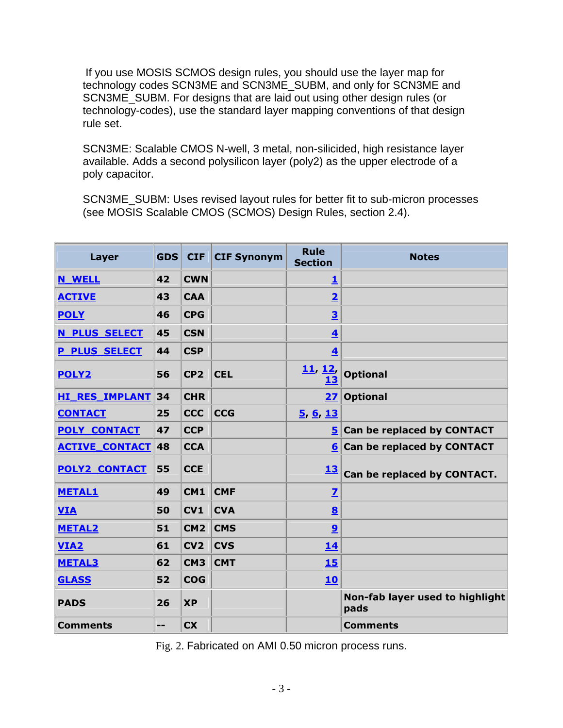If you use MOSIS SCMOS design rules, you should use the layer map for technology codes SCN3ME and SCN3ME\_SUBM, and only for SCN3ME and SCN3ME\_SUBM. For designs that are laid out using other design rules (or technology-codes), use the standard layer mapping conventions of that design rule set.

SCN3ME: Scalable CMOS N-well, 3 metal, non-silicided, high resistance layer available. Adds a second polysilicon layer (poly2) as the upper electrode of a poly capacitor.

SCN3ME\_SUBM: Uses revised layout rules for better fit to sub-micron processes (see MOSIS Scalable CMOS (SCMOS) Design Rules, section 2.4).

| Layer                 | <b>GDS</b> | <b>CIF</b>      | <b>CIF Synonym</b> | <b>Rule</b><br><b>Section</b> | <b>Notes</b>                            |
|-----------------------|------------|-----------------|--------------------|-------------------------------|-----------------------------------------|
| <b>N WELL</b>         | 42         | <b>CWN</b>      |                    | <u>1</u>                      |                                         |
| <b>ACTIVE</b>         | 43         | <b>CAA</b>      |                    | $\overline{2}$                |                                         |
| <b>POLY</b>           | 46         | <b>CPG</b>      |                    | $\overline{\mathbf{3}}$       |                                         |
| N PLUS SELECT         | 45         | <b>CSN</b>      |                    | $\overline{\mathbf{4}}$       |                                         |
| <b>P_PLUS_SELECT</b>  | 44         | <b>CSP</b>      |                    | $\overline{\mathbf{4}}$       |                                         |
| <b>POLY2</b>          | 56         | CP <sub>2</sub> | <b>CEL</b>         | <u>11, 12, </u><br>13         | <b>Optional</b>                         |
| <b>HI RES IMPLANT</b> | 34         | <b>CHR</b>      |                    | 27                            | <b>Optional</b>                         |
| <b>CONTACT</b>        | 25         | <b>CCC</b>      | <b>CCG</b>         | 5, 6, 13                      |                                         |
| <b>POLY CONTACT</b>   | 47         | <b>CCP</b>      |                    | 5                             | Can be replaced by CONTACT              |
| <b>ACTIVE CONTACT</b> | 48         | <b>CCA</b>      |                    |                               | 6 Can be replaced by CONTACT            |
| <b>POLY2 CONTACT</b>  | 55         | <b>CCE</b>      |                    | <u>13</u>                     | Can be replaced by CONTACT.             |
| <b>METAL1</b>         | 49         | CM <sub>1</sub> | <b>CMF</b>         | $\overline{\mathbf{Z}}$       |                                         |
| <b>VIA</b>            | 50         | CV1             | <b>CVA</b>         | $\underline{8}$               |                                         |
| <b>METAL2</b>         | 51         | CM <sub>2</sub> | <b>CMS</b>         | $\overline{9}$                |                                         |
| <b>VIA2</b>           | 61         | CV <sub>2</sub> | <b>CVS</b>         | <u>14</u>                     |                                         |
| <b>METAL3</b>         | 62         | CM <sub>3</sub> | <b>CMT</b>         | <b>15</b>                     |                                         |
| <b>GLASS</b>          | 52         | <b>COG</b>      |                    | 10                            |                                         |
| <b>PADS</b>           | 26         | <b>XP</b>       |                    |                               | Non-fab layer used to highlight<br>pads |
| <b>Comments</b>       | --         | <b>CX</b>       |                    |                               | <b>Comments</b>                         |

Fig. 2. Fabricated on AMI 0.50 micron process runs.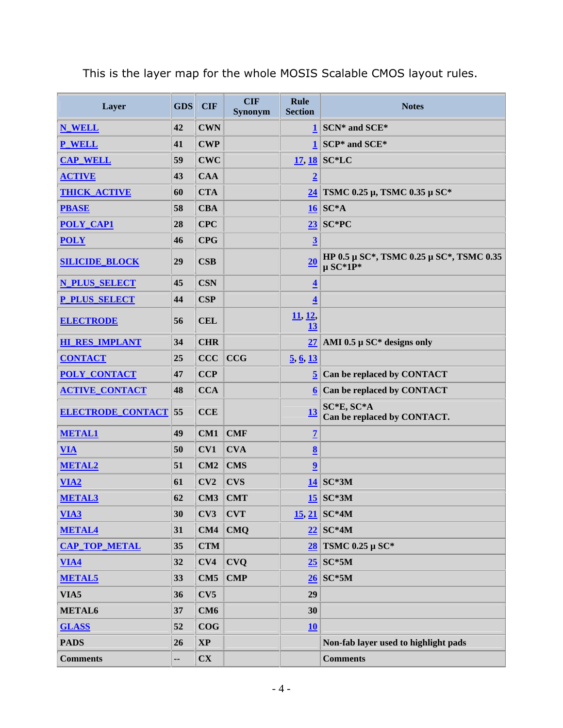| Layer                    | <b>GDS</b> | <b>CIF</b>             | <b>CIF</b><br><b>Synonym</b> | <b>Rule</b><br><b>Section</b>  | <b>Notes</b>                                             |
|--------------------------|------------|------------------------|------------------------------|--------------------------------|----------------------------------------------------------|
| <b>N_WELL</b>            | 42         | <b>CWN</b>             |                              |                                | $1$ SCN* and SCE*                                        |
| <b>P</b> WELL            | 41         | <b>CWP</b>             |                              |                                | $1$ SCP* and SCE*                                        |
| <b>CAP_WELL</b>          | 59         | <b>CWC</b>             |                              |                                | $17, 18$ SC*LC                                           |
| <b>ACTIVE</b>            | 43         | <b>CAA</b>             |                              | $\overline{2}$                 |                                                          |
| <b>THICK ACTIVE</b>      | 60         | <b>CTA</b>             |                              |                                | $24$ TSMC 0.25 μ, TSMC 0.35 μ SC*                        |
| <b>PBASE</b>             | 58         | <b>CBA</b>             |                              |                                | $16$ SC*A                                                |
| <b>POLY_CAP1</b>         | 28         | CPC                    |                              |                                | $23$ SC*PC                                               |
| <b>POLY</b>              | 46         | <b>CPG</b>             |                              | $\overline{3}$                 |                                                          |
| <b>SILICIDE BLOCK</b>    | 29         | $\mathbf{CSB}$         |                              | 20                             | HP 0.5 μ SC*, TSMC 0.25 μ SC*, TSMC 0.35<br>$\mu$ SC*1P* |
| <b>N PLUS SELECT</b>     | 45         | <b>CSN</b>             |                              | $\overline{\mathbf{4}}$        |                                                          |
| <b>P_PLUS_SELECT</b>     | 44         | CSP                    |                              | $\overline{\mathbf{4}}$        |                                                          |
| <b>ELECTRODE</b>         | 56         | <b>CEL</b>             |                              | <u>11, 12, </u><br>13          |                                                          |
| <b>HI_RES_IMPLANT</b>    | 34         | <b>CHR</b>             |                              |                                | $27$ AMI 0.5 µ SC* designs only                          |
| <b>CONTACT</b>           | 25         | CCC                    | <b>CCG</b>                   | $\frac{5}{9}$ , $\frac{6}{13}$ |                                                          |
| <b>POLY CONTACT</b>      | 47         | <b>CCP</b>             |                              |                                | $5$ Can be replaced by CONTACT                           |
| <b>ACTIVE_CONTACT</b>    | 48         | <b>CCA</b>             |                              |                                | $6$ Can be replaced by CONTACT                           |
| <b>ELECTRODE_CONTACT</b> | 55         | <b>CCE</b>             |                              | 13                             | SC*E, SC*A<br>Can be replaced by CONTACT.                |
| <b>METAL1</b>            | 49         | CM1                    | <b>CMF</b>                   | $\overline{1}$                 |                                                          |
| <b>VIA</b>               | 50         | CV1                    | <b>CVA</b>                   | $\underline{8}$                |                                                          |
| <b>METAL2</b>            | 51         | CM2                    | <b>CMS</b>                   | $\overline{\mathbf{2}}$        |                                                          |
| $VIA2$                   | 61         | CV2                    | <b>CVS</b>                   |                                | $14$ SC*3M                                               |
| <b>METAL3</b>            | 62         | CM3                    | <b>CMT</b>                   |                                | $15$ SC*3M                                               |
| VIA3                     | 30         | CV3                    | <b>CVT</b>                   |                                | $15, 21$ SC*4M                                           |
| <b>METAL4</b>            | 31         | CM4                    | <b>CMQ</b>                   |                                | $22$ SC*4M                                               |
| <b>CAP_TOP_METAL</b>     | 35         | <b>CTM</b>             |                              |                                | $28$ TSMC 0.25 μ SC*                                     |
| $VIA4$                   | 32         | CV4                    | <b>CVQ</b>                   |                                | $25$ SC*5M                                               |
| <b>METAL5</b>            | 33         | CM5                    | <b>CMP</b>                   |                                | $26$ SC*5M                                               |
| VIA5                     | 36         | CV5                    |                              | 29                             |                                                          |
| METAL6                   | 37         | CM6                    |                              | 30                             |                                                          |
| <b>GLASS</b>             | 52         | COG                    |                              | 10                             |                                                          |
| <b>PADS</b>              | 26         | $\mathbf{XP}$          |                              |                                | Non-fab layer used to highlight pads                     |
| <b>Comments</b>          | --         | $\mathbf{C}\mathbf{X}$ |                              |                                | <b>Comments</b>                                          |

This is the layer map for the whole MOSIS Scalable CMOS layout rules.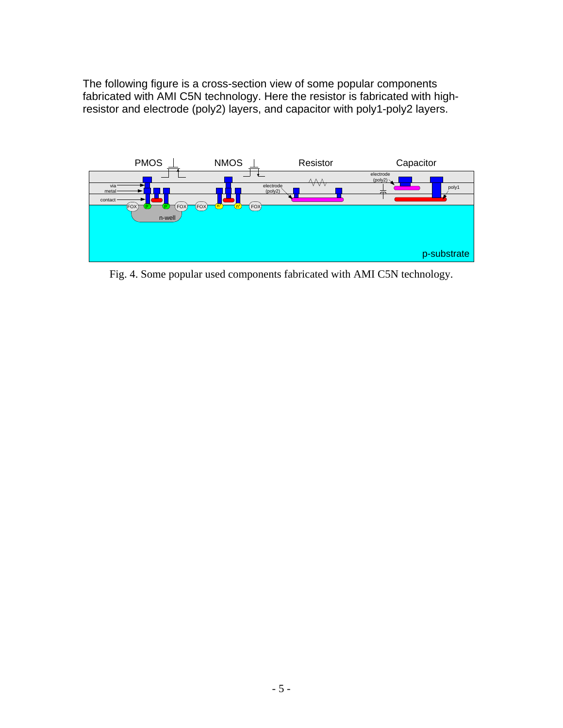The following figure is a cross-section view of some popular components fabricated with AMI C5N technology. Here the resistor is fabricated with highresistor and electrode (poly2) layers, and capacitor with poly1-poly2 layers.



Fig. 4. Some popular used components fabricated with AMI C5N technology.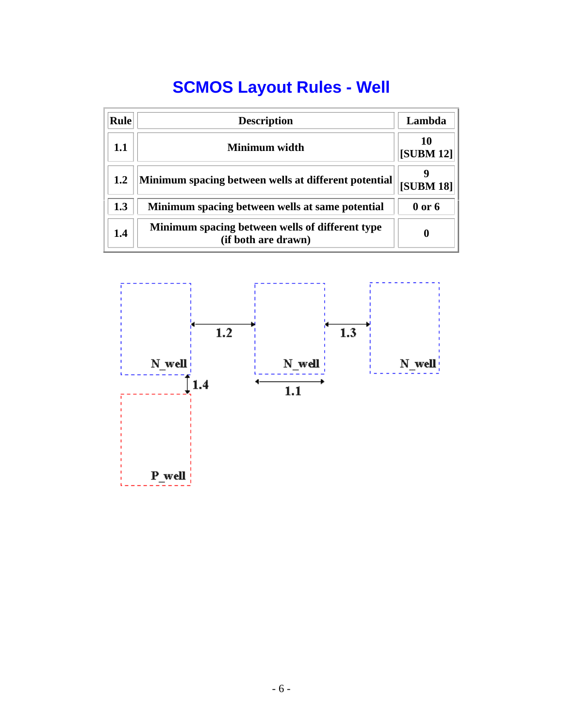# **SCMOS Layout Rules - Well**

| <b>Rule</b> | <b>Description</b>                                                     | Lambda                 |
|-------------|------------------------------------------------------------------------|------------------------|
| 1.1         | Minimum width                                                          | 10<br><b>[SUBM 12]</b> |
| 1.2         | Minimum spacing between wells at different potential                   | <b>[SUBM 18]</b>       |
| 1.3         | Minimum spacing between wells at same potential                        | $0$ or $6$             |
| 1.4         | Minimum spacing between wells of different type<br>(if both are drawn) | 0                      |

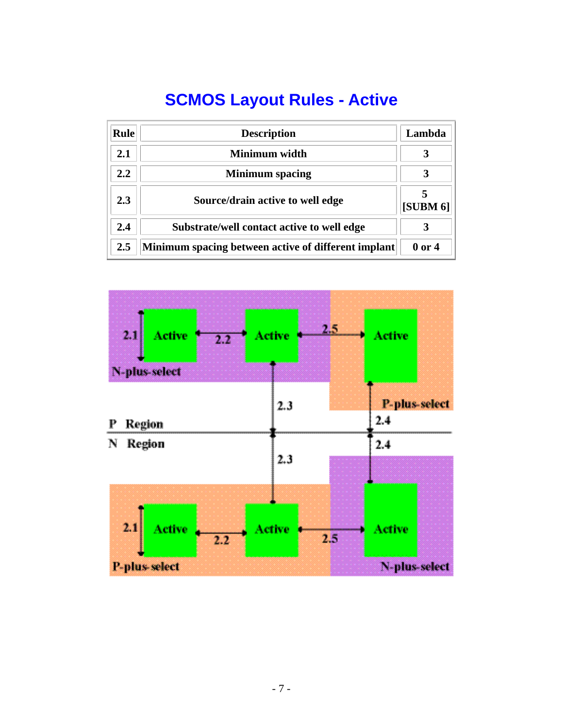# **SCMOS Layout Rules - Active**

| <b>Rule</b> | <b>Description</b>                                  | Lambda   |
|-------------|-----------------------------------------------------|----------|
| 2.1         | Minimum width                                       | 3        |
| 2.2         | <b>Minimum</b> spacing                              |          |
| 2.3         | Source/drain active to well edge                    | [SUBM 6] |
| 2.4         | Substrate/well contact active to well edge          | 3        |
| 2.5         | Minimum spacing between active of different implant | 0 or 4   |

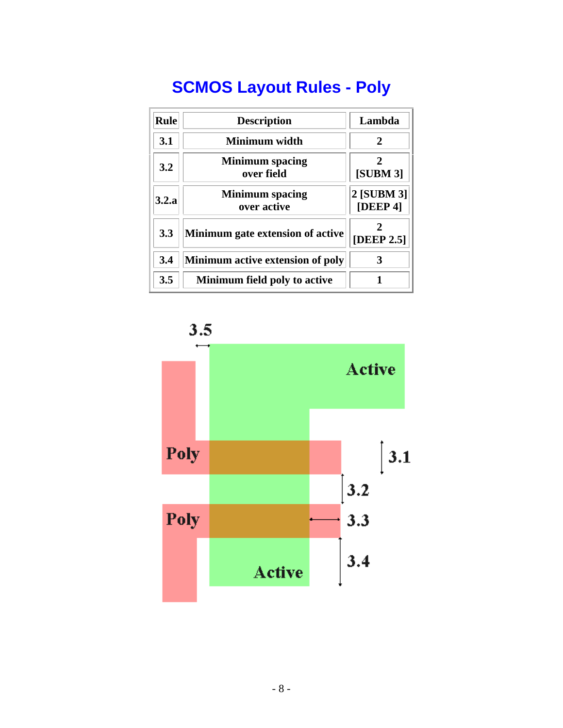# **SCMOS Layout Rules - Poly**

| <b>Rule</b> | <b>Description</b>                    | Lambda                 |
|-------------|---------------------------------------|------------------------|
| 3.1         | <b>Minimum width</b>                  | $\mathcal{D}_{\cdot}$  |
| 3.2         | <b>Minimum</b> spacing<br>over field  | 2<br>[SUBM 3]          |
| 3.2.a       | <b>Minimum</b> spacing<br>over active | 2 [SUBM 3]<br>[DEEP 4] |
| 3.3         | Minimum gate extension of active      | 2<br>[DEEP 2.5]        |
| 3.4         | Minimum active extension of poly      | 3                      |
| 3.5         | Minimum field poly to active          |                        |



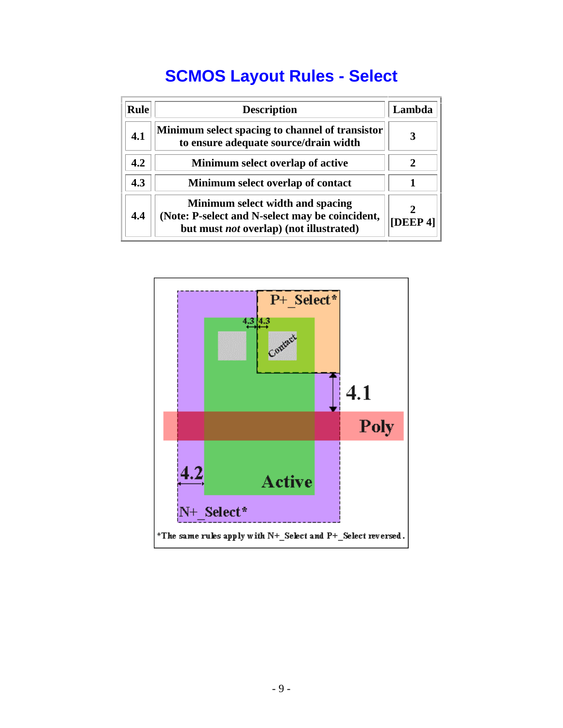## **SCMOS Layout Rules - Select**

| <b>Rule</b> | <b>Description</b>                                                                                                                    | Lambda         |
|-------------|---------------------------------------------------------------------------------------------------------------------------------------|----------------|
| 4.1         | Minimum select spacing to channel of transistor<br>to ensure adequate source/drain width                                              |                |
| 4.2         | Minimum select overlap of active                                                                                                      | 2              |
| 4.3         | Minimum select overlap of contact                                                                                                     |                |
| 4.4         | Minimum select width and spacing<br>(Note: P-select and N-select may be coincident,<br>but must <i>not</i> overlap) (not illustrated) | <b>[DEEP4]</b> |

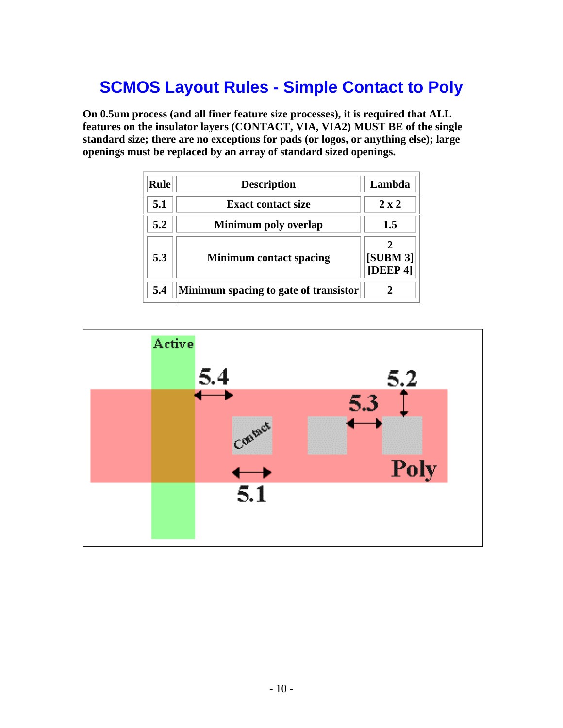## **SCMOS Layout Rules - Simple Contact to Poly**

**On 0.5um process (and all finer feature size processes), it is required that ALL features on the insulator layers (CONTACT, VIA, VIA2) MUST BE of the single standard size; there are no exceptions for pads (or logos, or anything else); large openings must be replaced by an array of standard sized openings.**

| <b>Rule</b> | <b>Description</b>                    | Lambda               |
|-------------|---------------------------------------|----------------------|
| 5.1         | <b>Exact contact size</b>             | $2 \times 2$         |
| 5.2         | Minimum poly overlap                  | 1.5                  |
| 5.3         | <b>Minimum contact spacing</b>        | [SUBM 3]<br>[DEEP 4] |
| 5.4         | Minimum spacing to gate of transistor |                      |

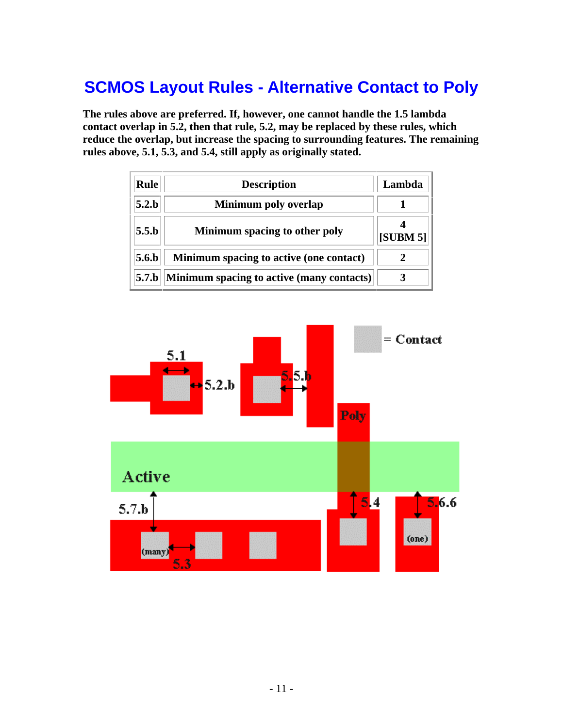#### **SCMOS Layout Rules - Alternative Contact to Poly**

**The rules above are preferred. If, however, one cannot handle the 1.5 lambda contact overlap in 5.2, then that rule, 5.2, may be replaced by these rules, which reduce the overlap, but increase the spacing to surrounding features. The remaining rules above, 5.1, 5.3, and 5.4, still apply as originally stated.**

| Rule             | <b>Description</b>                        | Lambda   |
|------------------|-------------------------------------------|----------|
| 5.2 <sub>b</sub> | Minimum poly overlap                      |          |
| 5.5 <sub>b</sub> | Minimum spacing to other poly             | [SUBM 5] |
| 5.6 <sub>b</sub> | Minimum spacing to active (one contact)   |          |
| 5.7.b            | Minimum spacing to active (many contacts) |          |

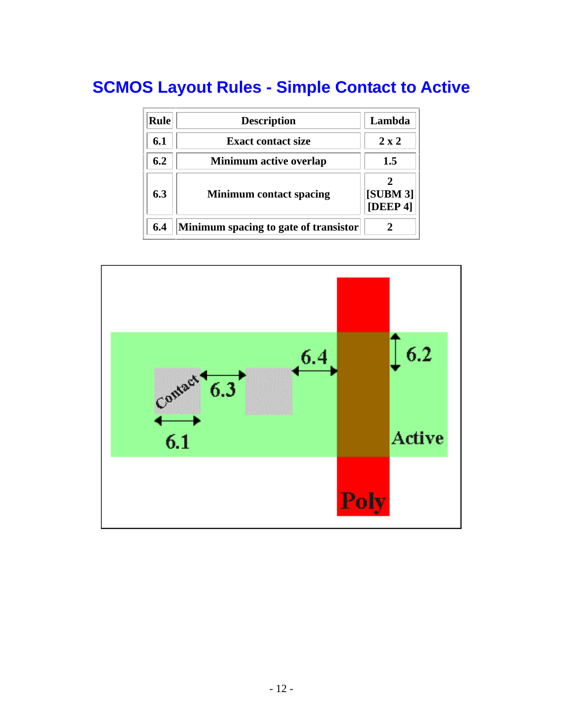## **SCMOS Layout Rules - Simple Contact to Active**

| <b>Rule</b> | <b>Description</b>                    | Lambda               |
|-------------|---------------------------------------|----------------------|
| 6.1         | <b>Exact contact size</b>             | $2 \times 2$         |
| 6.2         | <b>Minimum active overlap</b>         | 1.5                  |
| 6.3         | <b>Minimum contact spacing</b>        | [SUBM 3]<br>[DEEP 4] |
| 6.4         | Minimum spacing to gate of transistor |                      |

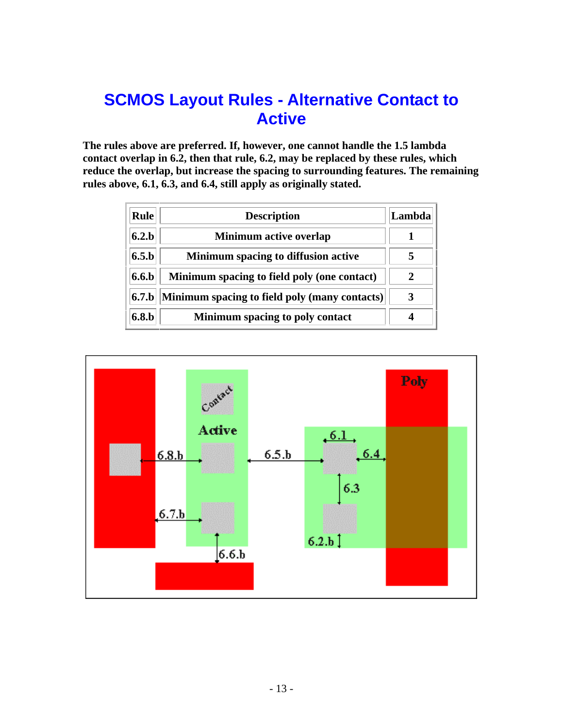#### **SCMOS Layout Rules - Alternative Contact to Active**

**The rules above are preferred. If, however, one cannot handle the 1.5 lambda contact overlap in 6.2, then that rule, 6.2, may be replaced by these rules, which reduce the overlap, but increase the spacing to surrounding features. The remaining rules above, 6.1, 6.3, and 6.4, still apply as originally stated.**

| <b>Rule</b> | <b>Description</b>                            | Lambda |
|-------------|-----------------------------------------------|--------|
| 6.2.b       | <b>Minimum active overlap</b>                 |        |
| 6.5.b       | Minimum spacing to diffusion active           |        |
| 6.6.b       | Minimum spacing to field poly (one contact)   |        |
| 6.7.b       | Minimum spacing to field poly (many contacts) |        |
| 6.8.b       | Minimum spacing to poly contact               |        |

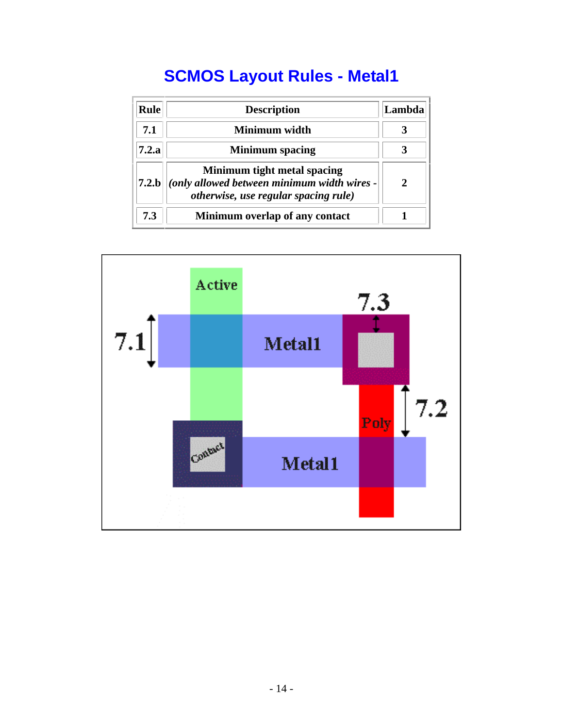# **SCMOS Layout Rules - Metal1**

| Rule          | <b>Description</b>                                                                                                 | Lambda |
|---------------|--------------------------------------------------------------------------------------------------------------------|--------|
| 7.1           | Minimum width                                                                                                      |        |
| 7.2.a         | <b>Minimum</b> spacing                                                                                             |        |
| $7.2 \cdot b$ | Minimum tight metal spacing<br>(only allowed between minimum width wires -<br>otherwise, use regular spacing rule) | 2      |
| 7.3           | Minimum overlap of any contact                                                                                     |        |

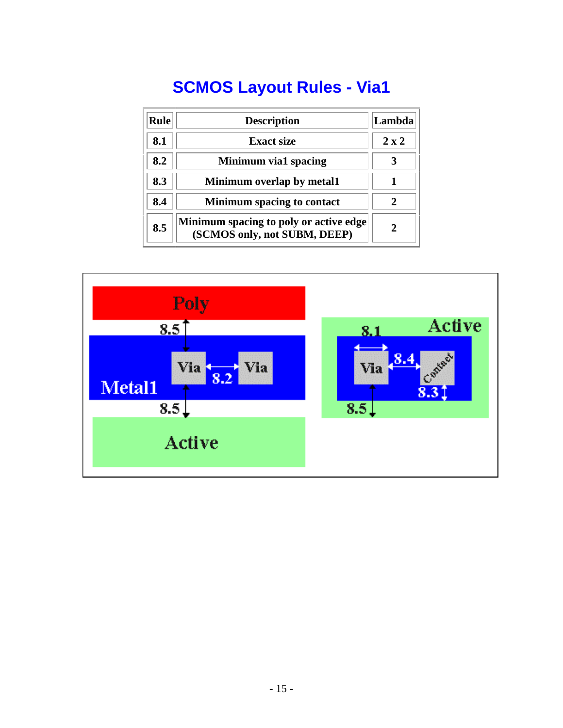# **SCMOS Layout Rules - Via1**

| <b>Rule</b> | <b>Description</b>                                                     | Lambda       |
|-------------|------------------------------------------------------------------------|--------------|
| 8.1         | <b>Exact size</b>                                                      | $2 \times 2$ |
| 8.2         | Minimum via1 spacing                                                   |              |
| 8.3         | Minimum overlap by metal1                                              |              |
| 8.4         | <b>Minimum spacing to contact</b>                                      |              |
| 8.5         | Minimum spacing to poly or active edge<br>(SCMOS only, not SUBM, DEEP) | 2            |

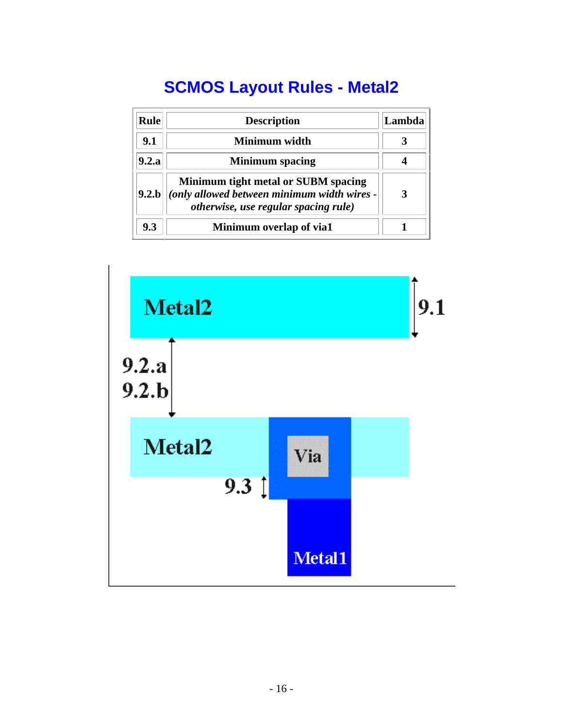# **SCMOS Layout Rules - Metal2**

| Rule  | <b>Description</b>                                                                                                         | Lambda |
|-------|----------------------------------------------------------------------------------------------------------------------------|--------|
| 9.1   | Minimum width                                                                                                              |        |
| 9.2.a | <b>Minimum</b> spacing                                                                                                     |        |
| 9.2.b | Minimum tight metal or SUBM spacing<br>(only allowed between minimum width wires -<br>otherwise, use regular spacing rule) | 3      |
| 9.3   | Minimum overlap of via1                                                                                                    |        |

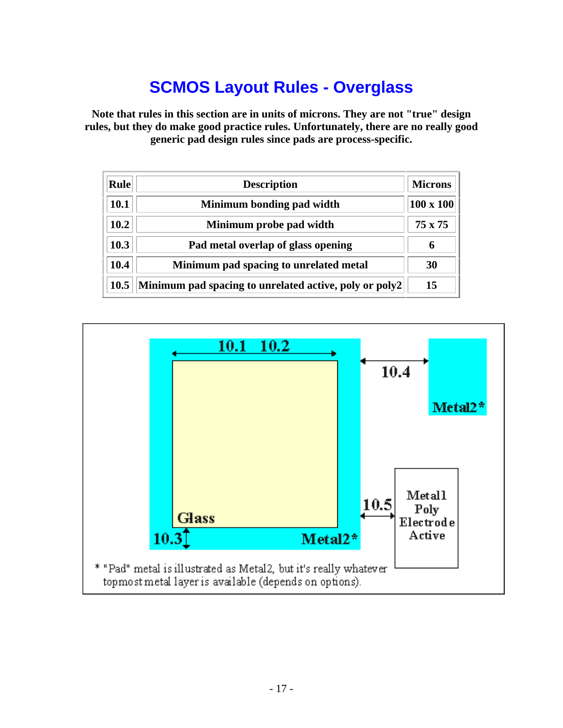## **SCMOS Layout Rules - Overglass**

**Note that rules in this section are in units of microns. They are not "true" design rules, but they do make good practice rules. Unfortunately, there are no really good generic pad design rules since pads are process-specific.**

| <b>Rule</b> | <b>Description</b>                                     | <b>Microns</b>   |
|-------------|--------------------------------------------------------|------------------|
| 10.1        | Minimum bonding pad width                              | $100 \times 100$ |
| 10.2        | Minimum probe pad width                                | $75 \times 75$   |
| 10.3        | Pad metal overlap of glass opening                     |                  |
| 10.4        | Minimum pad spacing to unrelated metal                 | 30               |
| 10.5        | Minimum pad spacing to unrelated active, poly or poly2 | 15               |

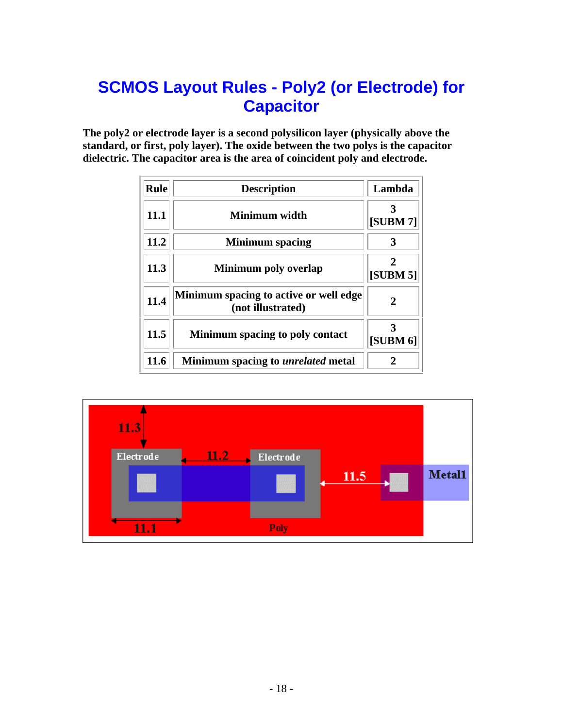#### **SCMOS Layout Rules - Poly2 (or Electrode) for Capacitor**

**The poly2 or electrode layer is a second polysilicon layer (physically above the standard, or first, poly layer). The oxide between the two polys is the capacitor dielectric. The capacitor area is the area of coincident poly and electrode.**

| <b>Rule</b> | <b>Description</b>                                          | Lambda          |
|-------------|-------------------------------------------------------------|-----------------|
| 11.1        | Minimum width                                               | <b>[SUBM 7]</b> |
| 11.2        | <b>Minimum</b> spacing                                      |                 |
| 11.3        | Minimum poly overlap                                        | [SUBM 5]        |
| 11.4        | Minimum spacing to active or well edge<br>(not illustrated) | 2               |
| 11.5        | Minimum spacing to poly contact                             | [SUBM 6]        |
| 11.6        | Minimum spacing to <i>unrelated</i> metal                   | 2               |

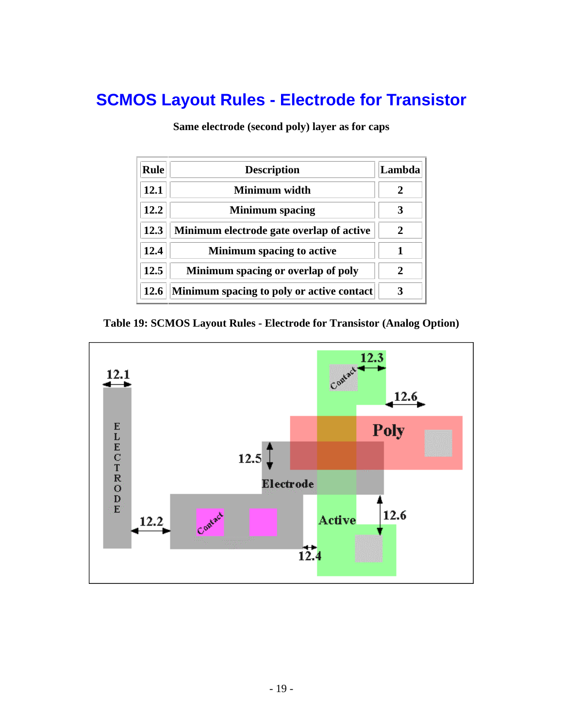#### **SCMOS Layout Rules - Electrode for Transistor**

**Same electrode (second poly) layer as for caps**

| <b>Rule</b> | <b>Description</b>                        | Lambda                      |
|-------------|-------------------------------------------|-----------------------------|
| 12.1        | Minimum width                             |                             |
| 12.2        | <b>Minimum</b> spacing                    | 3                           |
| 12.3        | Minimum electrode gate overlap of active  | 2                           |
| 12.4        | <b>Minimum spacing to active</b>          |                             |
| 12.5        | Minimum spacing or overlap of poly        | $\mathcal{D}_{\mathcal{A}}$ |
| 12.6        | Minimum spacing to poly or active contact |                             |

**Table 19: SCMOS Layout Rules - Electrode for Transistor (Analog Option)** 

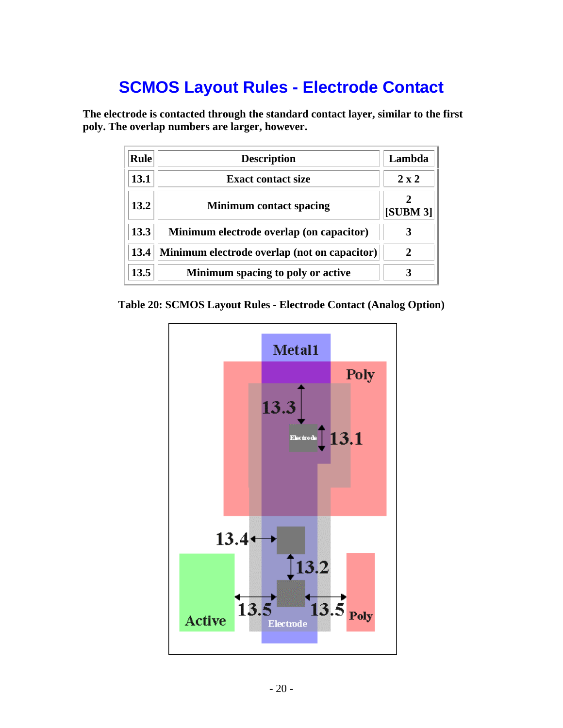#### **SCMOS Layout Rules - Electrode Contact**

**The electrode is contacted through the standard contact layer, similar to the first poly. The overlap numbers are larger, however.** 

| Rule | <b>Description</b>                           | Lambda       |
|------|----------------------------------------------|--------------|
| 13.1 | <b>Exact contact size</b>                    | $2 \times 2$ |
| 13.2 | <b>Minimum contact spacing</b>               | [SUBM 3]     |
| 13.3 | Minimum electrode overlap (on capacitor)     |              |
| 13.4 | Minimum electrode overlap (not on capacitor) | 2            |
| 13.5 | Minimum spacing to poly or active            |              |



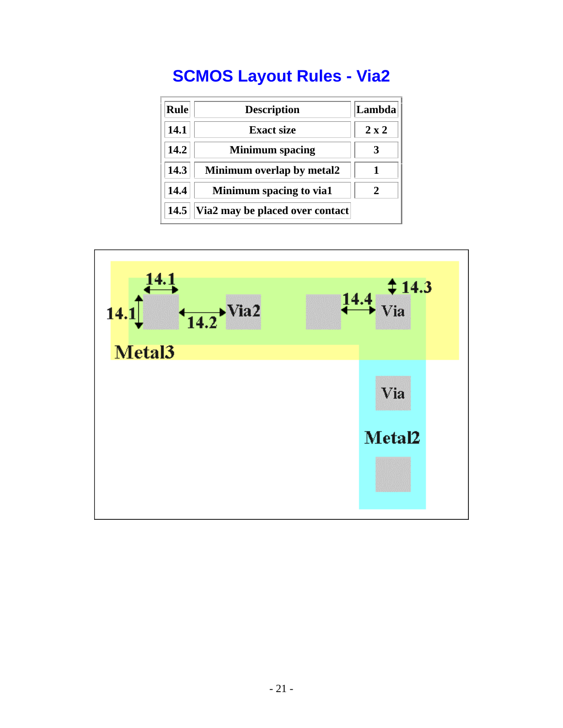# **SCMOS Layout Rules - Via2**

| <b>Rule</b> | <b>Description</b>              | Lambda       |
|-------------|---------------------------------|--------------|
| 14.1        | <b>Exact size</b>               | $2 \times 2$ |
| 14.2        | <b>Minimum</b> spacing          |              |
| 14.3        | Minimum overlap by metal2       |              |
| 14.4        | Minimum spacing to via1         |              |
| 14.5        | Via2 may be placed over contact |              |

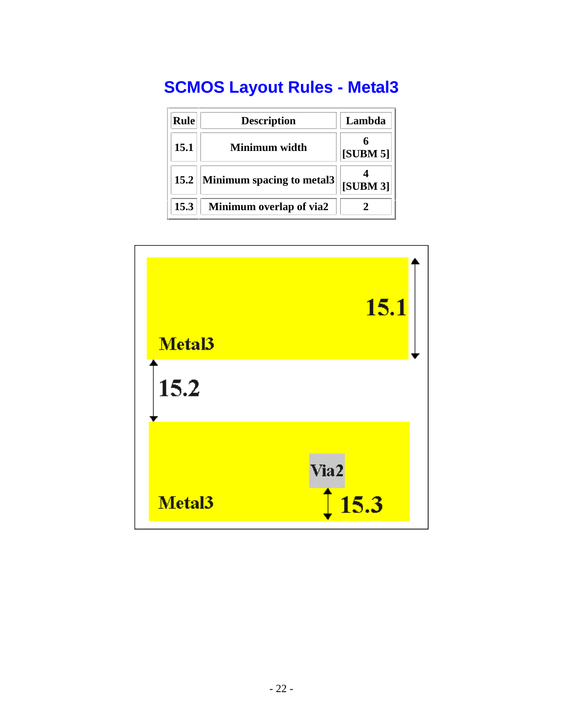# **SCMOS Layout Rules - Metal3**

| <b>Rule</b> | <b>Description</b>        | Lambda           |
|-------------|---------------------------|------------------|
| 15.1        | Minimum width             | [SUBM 5]         |
| 15.2        | Minimum spacing to metal3 | $ $ [SUBM 3] $ $ |
| 15.3        | Minimum overlap of via2   |                  |